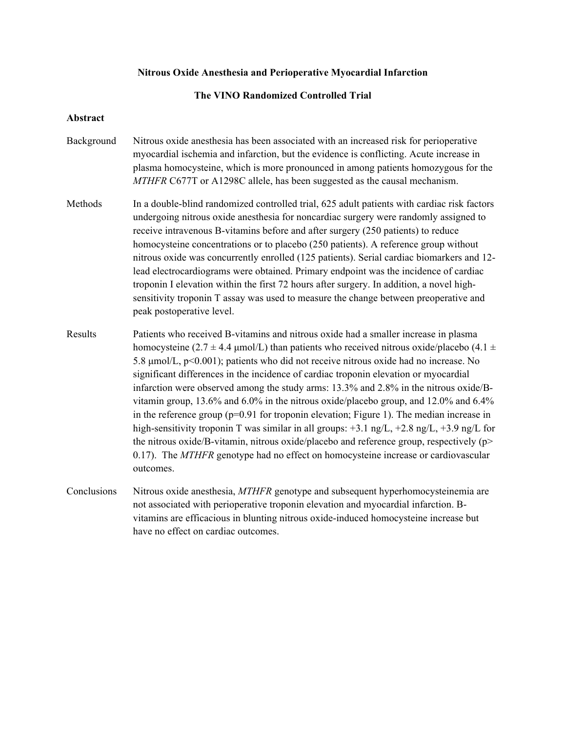## **Nitrous Oxide Anesthesia and Perioperative Myocardial Infarction**

## **The VINO Randomized Controlled Trial**

## **Abstract**

- Background Nitrous oxide anesthesia has been associated with an increased risk for perioperative myocardial ischemia and infarction, but the evidence is conflicting. Acute increase in plasma homocysteine, which is more pronounced in among patients homozygous for the *MTHFR* C677T or A1298C allele, has been suggested as the causal mechanism.
- Methods In a double-blind randomized controlled trial, 625 adult patients with cardiac risk factors undergoing nitrous oxide anesthesia for noncardiac surgery were randomly assigned to receive intravenous B-vitamins before and after surgery (250 patients) to reduce homocysteine concentrations or to placebo (250 patients). A reference group without nitrous oxide was concurrently enrolled (125 patients). Serial cardiac biomarkers and 12 lead electrocardiograms were obtained. Primary endpoint was the incidence of cardiac troponin I elevation within the first 72 hours after surgery. In addition, a novel highsensitivity troponin T assay was used to measure the change between preoperative and peak postoperative level.
- Results Patients who received B-vitamins and nitrous oxide had a smaller increase in plasma homocysteine (2.7  $\pm$  4.4 µmol/L) than patients who received nitrous oxide/placebo (4.1  $\pm$ 5.8 µmol/L, p<0.001); patients who did not receive nitrous oxide had no increase. No significant differences in the incidence of cardiac troponin elevation or myocardial infarction were observed among the study arms: 13.3% and 2.8% in the nitrous oxide/Bvitamin group, 13.6% and 6.0% in the nitrous oxide/placebo group, and 12.0% and 6.4% in the reference group  $(p=0.91)$  for troponin elevation; Figure 1). The median increase in high-sensitivity troponin T was similar in all groups:  $+3.1$  ng/L,  $+2.8$  ng/L,  $+3.9$  ng/L for the nitrous oxide/B-vitamin, nitrous oxide/placebo and reference group, respectively  $(p>$ 0.17). The *MTHFR* genotype had no effect on homocysteine increase or cardiovascular outcomes.
- Conclusions Nitrous oxide anesthesia, *MTHFR* genotype and subsequent hyperhomocysteinemia are not associated with perioperative troponin elevation and myocardial infarction. Bvitamins are efficacious in blunting nitrous oxide-induced homocysteine increase but have no effect on cardiac outcomes.